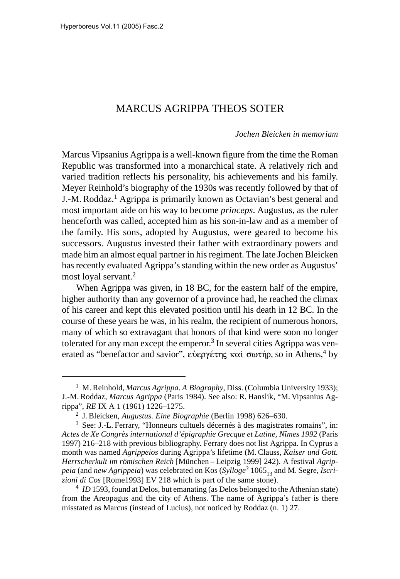## MARCUS AGRIPPA THEOS SOTER

## *Jochen Bleicken in memoriam*

Marcus Vipsanius Agrippa is a well-known figure from the time the Roman Republic was transformed into a monarchical state. A relatively rich and varied tradition reflects his personality, his achievements and his family. Meyer Reinhold's biography of the 1930s was recently followed by that of J.-M. Roddaz.1 Agrippa is primarily known as Octavian's best general and most important aide on his way to become *princeps*. Augustus, as the ruler henceforth was called, accepted him as his son-in-law and as a member of the family. His sons, adopted by Augustus, were geared to become his successors. Augustus invested their father with extraordinary powers and made him an almost equal partner in his regiment. The late Jochen Bleicken has recently evaluated Agrippa's standing within the new order as Augustus' most loyal servant.2

When Agrippa was given, in 18 BC, for the eastern half of the empire, higher authority than any governor of a province had, he reached the climax of his career and kept this elevated position until his death in 12 BC. In the course of these years he was, in his realm, the recipient of numerous honors, many of which so extravagant that honors of that kind were soon no longer tolerated for any man except the emperor.<sup>3</sup> In several cities Agrippa was venerated as "benefactor and savior", εύεργέτης και σωτήρ, so in Athens,<sup>4</sup> by

<sup>1</sup> M. Reinhold, *Marcus Agrippa*. *A Biography*, Diss. (Columbia University 1933); J.-M. Roddaz, *Marcus Agrippa* (Paris 1984). See also: R. Hanslik, "M. Vipsanius Agrippa", *RE* IX A 1 (1961) 1226–1275.

<sup>2</sup> J. Bleicken, *Augustus. Eine Biographie* (Berlin 1998) 626–630.

<sup>3</sup> See: J.-L. Ferrary, "Honneurs cultuels décernés à des magistrates romains", in: *Actes de Xe Congrès international d'épigraphie Grecque et Latine, Nîmes 1992* (Paris 1997) 216–218 with previous bibliography. Ferrary does not list Agrippa. In Cyprus a month was named *Agrippeios* during Agrippa's lifetime (M. Clauss, *Kaiser und Gott. Herrscherkult im römischen Reich* [München – Leipzig 1999] 242). A festival *Agrippeia* (and *new Agrippeia*) was celebrated on Kos (*Sylloge<sup>3</sup>* 1065<sub>13</sub> and M. Segre, *Iscrizioni di Cos* [Rome1993] EV 218 which is part of the same stone).

<sup>&</sup>lt;sup>4</sup> *ID* 1593, found at Delos, but emanating (as Delos belonged to the Athenian state) from the Areopagus and the city of Athens. The name of Agrippa's father is there misstated as Marcus (instead of Lucius), not noticed by Roddaz (n. 1) 27.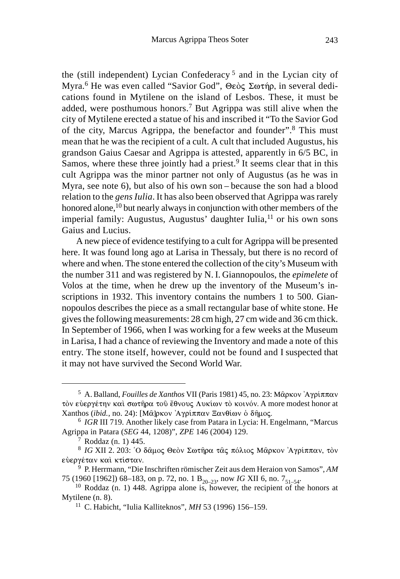the (still independent) Lycian Confederacy 5 and in the Lycian city of Myra.<sup>6</sup> He was even called "Savior God", Θεὸς Σωτήρ, in several dedications found in Mytilene on the island of Lesbos. These, it must be added, were posthumous honors.7 But Agrippa was still alive when the city of Mytilene erected a statue of his and inscribed it "To the Savior God of the city, Marcus Agrippa, the benefactor and founder".8 This must mean that he was the recipient of a cult. A cult that included Augustus, his grandson Gaius Caesar and Agrippa is attested, apparently in 6/5 BC, in Samos, where these three jointly had a priest.<sup>9</sup> It seems clear that in this cult Agrippa was the minor partner not only of Augustus (as he was in Myra, see note 6), but also of his own son – because the son had a blood relation to the *gens Iulia*. It has also been observed that Agrippa was rarely honored alone,<sup>10</sup> but nearly always in conjunction with other members of the imperial family: Augustus, Augustus' daughter Iulia,<sup>11</sup> or his own sons Gaius and Lucius.

A new piece of evidence testifying to a cult for Agrippa will be presented here. It was found long ago at Larisa in Thessaly, but there is no record of where and when. The stone entered the collection of the city's Museum with the number 311 and was registered by N. I. Giannopoulos, the *epimelete* of Volos at the time, when he drew up the inventory of the Museum's inscriptions in 1932. This inventory contains the numbers 1 to 500. Giannopoulos describes the piece as a small rectangular base of white stone. He gives the following measurements: 28 cm high, 27 cm wide and 36 cm thick. In September of 1966, when I was working for a few weeks at the Museum in Larisa, I had a chance of reviewing the Inventory and made a note of this entry. The stone itself, however, could not be found and I suspected that it may not have survived the Second World War.

<sup>&</sup>lt;sup>5</sup> A. Balland, *Fouilles de Xanthos* VII (Paris 1981) 45, no. 23: Μᾶρκον Ἀγρίππαν τὸν εὐεργέτην καὶ σωτῆρα τοῦ ἔθνους Λυκίων τὸ κοινόν. A more modest honor at Xanthos (*ibid.*, no. 24): [Μα]ρκον 'Αγρίππαν Ξανθίων ὁ δῆμος.

<sup>6</sup> *IGR* III 719. Another likely case from Patara in Lycia: H. Engelmann, "Marcus Agrippa in Patara (*SEG* 44, 1208)", *ZPE* 146 (2004) 129.

<sup>7</sup> Roddaz (n. 1) 445.

<sup>&</sup>lt;sup>8</sup> IG XII 2. 203: `Ο δαμος Θεον Σωτήρα τας πόλιος Μαρκον 'Αγρίππαν, τον εὐεργέταν καὶ κτίσταν.

<sup>9</sup> P. Herrmann, "Die Inschriften römischer Zeit aus dem Heraion von Samos", *AM* 75 (1960 [1962]) 68–183, on p. 72, no. 1 B<sub>20–23</sub>, now *IG* XII 6, no. 7<sub>51–54</sub>. <sup>10</sup> Roddaz (n. 1) 448. Agrippa alone is, however, the recipient of the honors at

Mytilene (n. 8).

<sup>11</sup> C. Habicht, "Iulia Kalliteknos", *MH* 53 (1996) 156–159.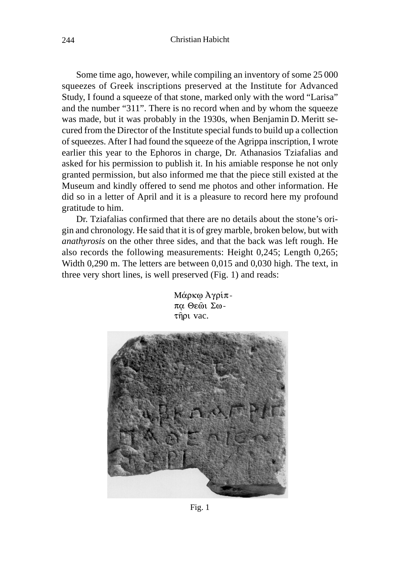Some time ago, however, while compiling an inventory of some 25 000 squeezes of Greek inscriptions preserved at the Institute for Advanced Study, I found a squeeze of that stone, marked only with the word "Larisa" and the number "311". There is no record when and by whom the squeeze was made, but it was probably in the 1930s, when Benjamin D. Meritt secured from the Director of the Institute special funds to build up a collection of squeezes. After I had found the squeeze of the Agrippa inscription, I wrote earlier this year to the Ephoros in charge, Dr. Athanasios Tziafalias and asked for his permission to publish it. In his amiable response he not only granted permission, but also informed me that the piece still existed at the Museum and kindly offered to send me photos and other information. He did so in a letter of April and it is a pleasure to record here my profound gratitude to him.

Dr. Tziafalias confirmed that there are no details about the stone's origin and chronology. He said that it is of grey marble, broken below, but with *anathyrosis* on the other three sides, and that the back was left rough. He also records the following measurements: Height 0,245; Length 0,265; Width 0,290 m. The letters are between 0,015 and 0,030 high. The text, in three very short lines, is well preserved (Fig. 1) and reads:



Μάρκφ Αγρίππα Θεώι Σω-

Fig. 1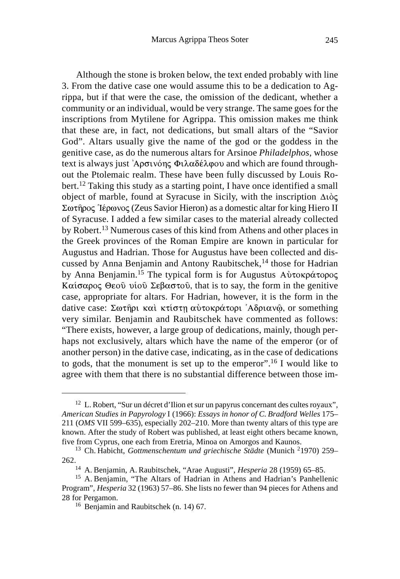Although the stone is broken below, the text ended probably with line 3. From the dative case one would assume this to be a dedication to Agrippa, but if that were the case, the omission of the dedicant, whether a community or an individual, would be very strange. The same goes for the inscriptions from Mytilene for Agrippa. This omission makes me think that these are, in fact, not dedications, but small altars of the "Savior God". Altars usually give the name of the god or the goddess in the genitive case, as do the numerous altars for Arsinoe *Philadelphos*, whose text is always just Ἀρσινόης Φιλαδέλφου and which are found throughout the Ptolemaic realm. These have been fully discussed by Louis Robert.12 Taking this study as a starting point, I have once identified a small object of marble, found at Syracuse in Sicily, with the inscription  $\Delta\iota\grave{o}$ Σωτήρος Ίέρωνος (Zeus Savior Hieron) as a domestic altar for king Hiero II of Syracuse. I added a few similar cases to the material already collected by Robert.13 Numerous cases of this kind from Athens and other places in the Greek provinces of the Roman Empire are known in particular for Augustus and Hadrian. Those for Augustus have been collected and discussed by Anna Benjamin and Antony Raubitschek,<sup>14</sup> those for Hadrian by Anna Benjamin.<sup>15</sup> The typical form is for Augustus Αὐτοκράτορος Kαίσαρος Θεού υἱού Σεβαστού, that is to say, the form in the genitive case, appropriate for altars. For Hadrian, however, it is the form in the dative case: Σωτῆρι καὶ κτίστῃ αὐτοκράτορι ʿΑδριανῷ, or something very similar. Benjamin and Raubitschek have commented as follows: "There exists, however, a large group of dedications, mainly, though perhaps not exclusively, altars which have the name of the emperor (or of another person) in the dative case, indicating, as in the case of dedications to gods, that the monument is set up to the emperor".16 I would like to agree with them that there is no substantial difference between those im-

<sup>&</sup>lt;sup>12</sup> L. Robert, "Sur un décret d'Ilion et sur un papyrus concernant des cultes royaux", *American Studies in Papyrology* I (1966): *Essays in honor of C. Bradford Welles* 175– 211 (*OMS* VII 599–635), especially 202–210. More than twenty altars of this type are known. After the study of Robert was published, at least eight others became known, five from Cyprus, one each from Eretria, Minoa on Amorgos and Kaunos.

<sup>13</sup> Ch. Habicht, *Gottmenschentum und griechische Städte* (Munich 21970) 259– 262.

<sup>14</sup> A. Benjamin, A. Raubitschek, "Arae Augusti", *Hesperia* 28 (1959) 65–85.

<sup>&</sup>lt;sup>15</sup> A. Benjamin, "The Altars of Hadrian in Athens and Hadrian's Panhellenic Program", *Hesperia* 32 (1963) 57–86. She lists no fewer than 94 pieces for Athens and 28 for Pergamon.

<sup>16</sup> Benjamin and Raubitschek (n. 14) 67.